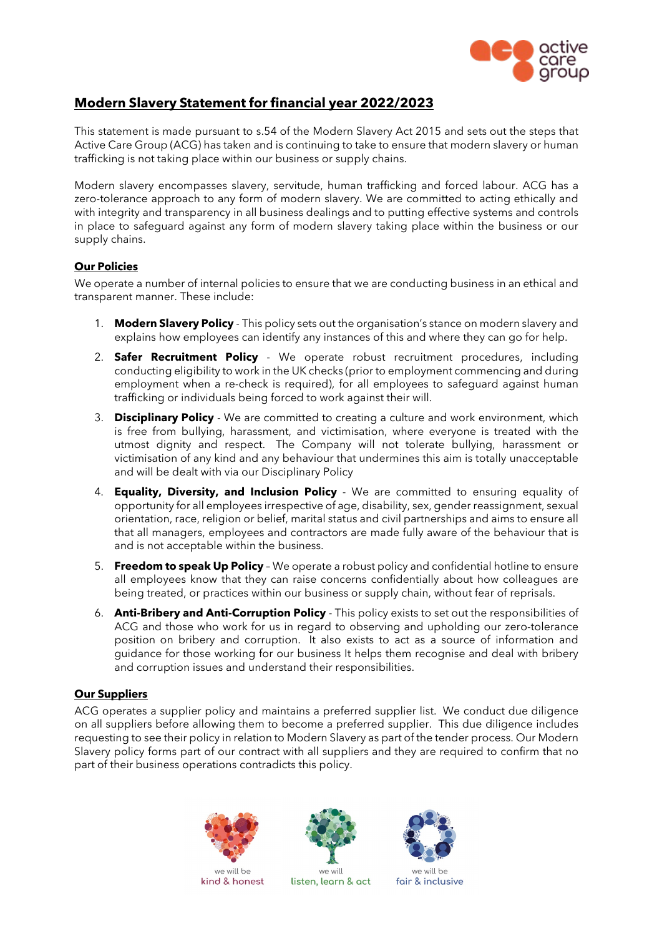

# **Modern Slavery Statement for financial year 2022/2023**

This statement is made pursuant to s.54 of the Modern Slavery Act 2015 and sets out the steps that Active Care Group (ACG) has taken and is continuing to take to ensure that modern slavery or human trafficking is not taking place within our business or supply chains.

Modern slavery encompasses slavery, servitude, human trafficking and forced labour. ACG has a zero-tolerance approach to any form of modern slavery. We are committed to acting ethically and with integrity and transparency in all business dealings and to putting effective systems and controls in place to safeguard against any form of modern slavery taking place within the business or our supply chains.

## **Our Policies**

We operate a number of internal policies to ensure that we are conducting business in an ethical and transparent manner. These include:

- 1. **Modern Slavery Policy** This policy sets out the organisation's stance on modern slavery and explains how employees can identify any instances of this and where they can go for help.
- 2. **Safer Recruitment Policy** We operate robust recruitment procedures, including conducting eligibility to work in the UK checks (prior to employment commencing and during employment when a re-check is required), for all employees to safeguard against human trafficking or individuals being forced to work against their will.
- 3. **Disciplinary Policy**  We are committed to creating a culture and work environment, which is free from bullying, harassment, and victimisation, where everyone is treated with the utmost dignity and respect. The Company will not tolerate bullying, harassment or victimisation of any kind and any behaviour that undermines this aim is totally unacceptable and will be dealt with via our Disciplinary Policy
- 4. **Equality, Diversity, and Inclusion Policy**  We are committed to ensuring equality of opportunity for all employees irrespective of age, disability, sex, gender reassignment, sexual orientation, race, religion or belief, marital status and civil partnerships and aims to ensure all that all managers, employees and contractors are made fully aware of the behaviour that is and is not acceptable within the business.
- 5. **Freedom to speak Up Policy**  We operate a robust policy and confidential hotline to ensure all employees know that they can raise concerns confidentially about how colleagues are being treated, or practices within our business or supply chain, without fear of reprisals.
- 6. **Anti-Bribery and Anti-Corruption Policy**  This policy exists to set out the responsibilities of ACG and those who work for us in regard to observing and upholding our zero-tolerance position on bribery and corruption. It also exists to act as a source of information and guidance for those working for our business It helps them recognise and deal with bribery and corruption issues and understand their responsibilities.

### **Our Suppliers**

ACG operates a supplier policy and maintains a preferred supplier list. We conduct due diligence on all suppliers before allowing them to become a preferred supplier. This due diligence includes requesting to see their policy in relation to Modern Slavery as part of the tender process. Our Modern Slavery policy forms part of our contract with all suppliers and they are required to confirm that no part of their business operations contradicts this policy.



kind & honest



we will listen, learn & act



we will be fair & inclusive